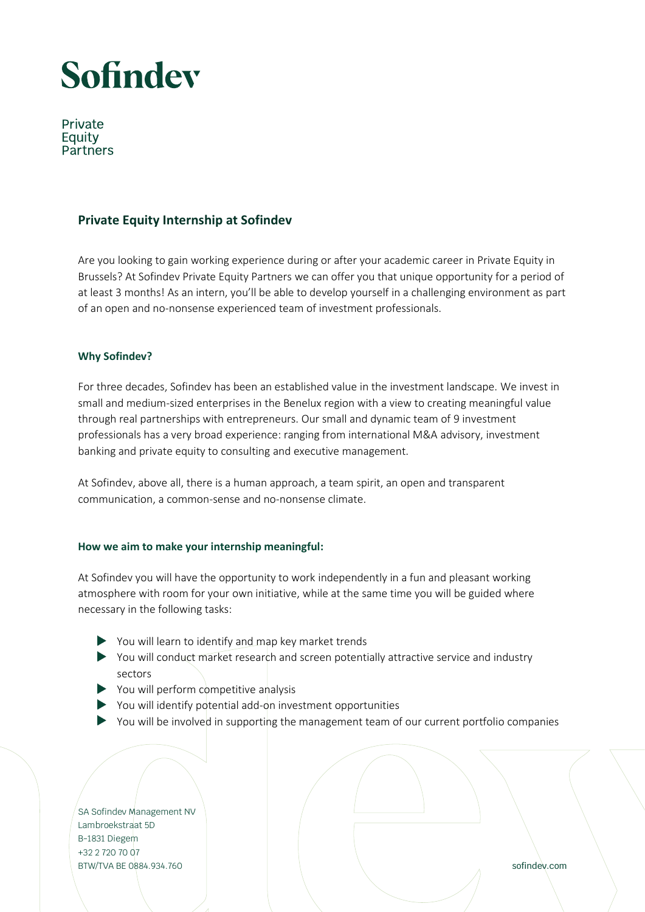## Sofindev

Private Eauity Partners

### **Private Equity Internship at Sofindev**

Are you looking to gain working experience during or after your academic career in Private Equity in Brussels? At Sofindev Private Equity Partners we can offer you that unique opportunity for a period of at least 3 months! As an intern, you'll be able to develop yourself in a challenging environment as part of an open and no-nonsense experienced team of investment professionals.

### **Why Sofindev?**

For three decades, Sofindev has been an established value in the investment landscape. We invest in small and medium-sized enterprises in the Benelux region with a view to creating meaningful value through real partnerships with entrepreneurs. Our small and dynamic team of 9 investment professionals has a very broad experience: ranging from international M&A advisory, investment banking and private equity to consulting and executive management.

At Sofindev, above all, there is a human approach, a team spirit, an open and transparent communication, a common-sense and no-nonsense climate.

### **How we aim to make your internship meaningful:**

At Sofindev you will have the opportunity to work independently in a fun and pleasant working atmosphere with room for your own initiative, while at the same time you will be guided where necessary in the following tasks:

- You will learn to identify and map key market trends
- You will conduct market research and screen potentially attractive service and industry sectors
- $\triangleright$  You will perform competitive analysis
- You will identify potential add-on investment opportunities
- $\triangleright$  You will be involved in supporting the management team of our current portfolio companies

SA Sofindev Management NV Lambroekstraat 5D B-1831 Diegem +32 2 720 70 07 BTW/TVA BE 0884.934.760 sofindev.com